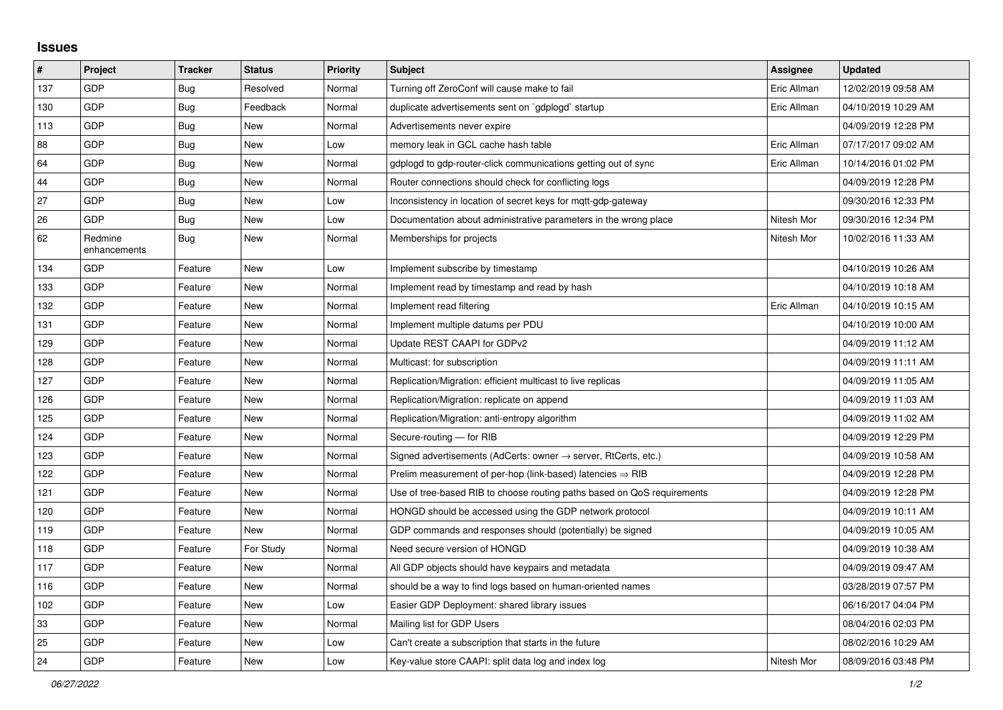## **Issues**

| $\vert$ # | Project                 | <b>Tracker</b> | <b>Status</b> | <b>Priority</b> | <b>Subject</b>                                                             | <b>Assignee</b> | <b>Updated</b>      |
|-----------|-------------------------|----------------|---------------|-----------------|----------------------------------------------------------------------------|-----------------|---------------------|
| 137       | GDP                     | <b>Bug</b>     | Resolved      | Normal          | Turning off ZeroConf will cause make to fail                               | Eric Allman     | 12/02/2019 09:58 AM |
| 130       | GDP                     | Bug            | Feedback      | Normal          | duplicate advertisements sent on `gdplogd` startup                         | Eric Allman     | 04/10/2019 10:29 AM |
| 113       | GDP                     | <b>Bug</b>     | <b>New</b>    | Normal          | Advertisements never expire                                                |                 | 04/09/2019 12:28 PM |
| 88        | GDP                     | <b>Bug</b>     | New           | Low             | memory leak in GCL cache hash table                                        | Eric Allman     | 07/17/2017 09:02 AM |
| 64        | GDP                     | Bug            | New           | Normal          | gdplogd to gdp-router-click communications getting out of sync             | Eric Allman     | 10/14/2016 01:02 PM |
| 44        | GDP                     | Bug            | New           | Normal          | Router connections should check for conflicting logs                       |                 | 04/09/2019 12:28 PM |
| 27        | GDP                     | Bug            | <b>New</b>    | Low             | Inconsistency in location of secret keys for mgtt-gdp-gateway              |                 | 09/30/2016 12:33 PM |
| 26        | GDP                     | Bug            | <b>New</b>    | Low             | Documentation about administrative parameters in the wrong place           | Nitesh Mor      | 09/30/2016 12:34 PM |
| 62        | Redmine<br>enhancements | <b>Bug</b>     | New           | Normal          | Memberships for projects                                                   | Nitesh Mor      | 10/02/2016 11:33 AM |
| 134       | GDP                     | Feature        | <b>New</b>    | Low             | Implement subscribe by timestamp                                           |                 | 04/10/2019 10:26 AM |
| 133       | GDP                     | Feature        | New           | Normal          | Implement read by timestamp and read by hash                               |                 | 04/10/2019 10:18 AM |
| 132       | GDP                     | Feature        | <b>New</b>    | Normal          | Implement read filtering                                                   | Eric Allman     | 04/10/2019 10:15 AM |
| 131       | GDP                     | Feature        | <b>New</b>    | Normal          | Implement multiple datums per PDU                                          |                 | 04/10/2019 10:00 AM |
| 129       | GDP                     | Feature        | <b>New</b>    | Normal          | Update REST CAAPI for GDPv2                                                |                 | 04/09/2019 11:12 AM |
| 128       | GDP                     | Feature        | New           | Normal          | Multicast: for subscription                                                |                 | 04/09/2019 11:11 AM |
| 127       | GDP                     | Feature        | <b>New</b>    | Normal          | Replication/Migration: efficient multicast to live replicas                |                 | 04/09/2019 11:05 AM |
| 126       | GDP                     | Feature        | <b>New</b>    | Normal          | Replication/Migration: replicate on append                                 |                 | 04/09/2019 11:03 AM |
| 125       | GDP                     | Feature        | New           | Normal          | Replication/Migration: anti-entropy algorithm                              |                 | 04/09/2019 11:02 AM |
| 124       | GDP                     | Feature        | New           | Normal          | Secure-routing - for RIB                                                   |                 | 04/09/2019 12:29 PM |
| 123       | GDP                     | Feature        | New           | Normal          | Signed advertisements (AdCerts: owner $\rightarrow$ server, RtCerts, etc.) |                 | 04/09/2019 10:58 AM |
| 122       | GDP                     | Feature        | New           | Normal          | Prelim measurement of per-hop (link-based) latencies $\Rightarrow$ RIB     |                 | 04/09/2019 12:28 PM |
| 121       | GDP                     | Feature        | <b>New</b>    | Normal          | Use of tree-based RIB to choose routing paths based on QoS requirements    |                 | 04/09/2019 12:28 PM |
| 120       | GDP                     | Feature        | <b>New</b>    | Normal          | HONGD should be accessed using the GDP network protocol                    |                 | 04/09/2019 10:11 AM |
| 119       | GDP                     | Feature        | <b>New</b>    | Normal          | GDP commands and responses should (potentially) be signed                  |                 | 04/09/2019 10:05 AM |
| 118       | GDP                     | Feature        | For Study     | Normal          | Need secure version of HONGD                                               |                 | 04/09/2019 10:38 AM |
| 117       | GDP                     | Feature        | New           | Normal          | All GDP objects should have keypairs and metadata                          |                 | 04/09/2019 09:47 AM |
| 116       | GDP                     | Feature        | New           | Normal          | should be a way to find logs based on human-oriented names                 |                 | 03/28/2019 07:57 PM |
| 102       | GDP                     | Feature        | <b>New</b>    | Low             | Easier GDP Deployment: shared library issues                               |                 | 06/16/2017 04:04 PM |
| 33        | GDP                     | Feature        | New           | Normal          | Mailing list for GDP Users                                                 |                 | 08/04/2016 02:03 PM |
| 25        | GDP                     | Feature        | <b>New</b>    | Low             | Can't create a subscription that starts in the future                      |                 | 08/02/2016 10:29 AM |
| 24        | GDP                     | Feature        | New           | Low             | Key-value store CAAPI: split data log and index log                        | Nitesh Mor      | 08/09/2016 03:48 PM |